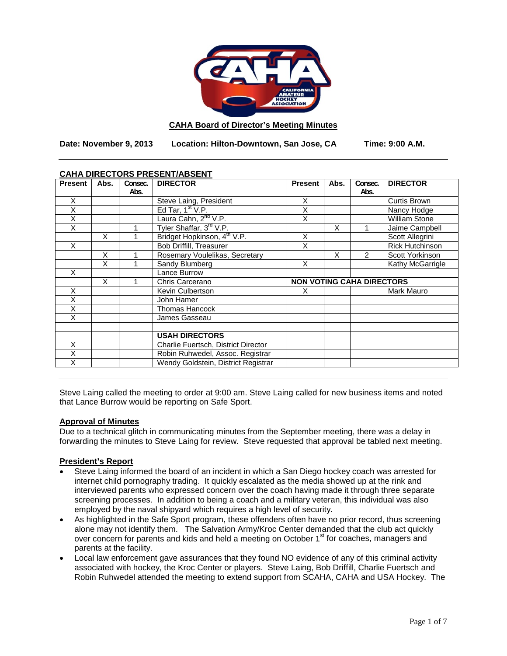

#### **CAHA Board of Director's Meeting Minutes**

**Date: November 9, 2013 Location: Hilton-Downtown, San Jose, CA Time: 9:00 A.M.**

| <b>Present</b> | Abs. | Consec. | <b>DIRECTOR</b>                         | <b>Present</b>                   | Abs. | Consec.        | <b>DIRECTOR</b>      |
|----------------|------|---------|-----------------------------------------|----------------------------------|------|----------------|----------------------|
|                |      | Abs.    |                                         |                                  |      | Abs.           |                      |
| X              |      |         | Steve Laing, President                  | X                                |      |                | Curtis Brown         |
| X              |      |         | Ed Tar, $1st V.P.$                      | Χ                                |      |                | Nancy Hodge          |
| X              |      |         | Laura Cahn, 2 <sup>nd</sup> V.P.        | Χ                                |      |                | <b>William Stone</b> |
| Χ              |      |         | Tyler Shaffar, 3rd V.P.                 |                                  | X    |                | Jaime Campbell       |
|                | X    |         | Bridget Hopkinson, 4 <sup>th</sup> V.P. | X                                |      |                | Scott Allegrini      |
| X              |      |         | <b>Bob Driffill, Treasurer</b>          | X                                |      |                | Rick Hutchinson      |
|                | X    |         | Rosemary Voulelikas, Secretary          |                                  | X    | $\mathfrak{p}$ | Scott Yorkinson      |
|                | X    |         | Sandy Blumberg                          | X                                |      |                | Kathy McGarrigle     |
| X              |      |         | Lance Burrow                            |                                  |      |                |                      |
|                | X    |         | Chris Carcerano                         | <b>NON VOTING CAHA DIRECTORS</b> |      |                |                      |
| X              |      |         | Kevin Culbertson                        | X                                |      |                | Mark Mauro           |
| X              |      |         | John Hamer                              |                                  |      |                |                      |
| X              |      |         | <b>Thomas Hancock</b>                   |                                  |      |                |                      |
| X              |      |         | James Gasseau                           |                                  |      |                |                      |
|                |      |         |                                         |                                  |      |                |                      |
|                |      |         | <b>USAH DIRECTORS</b>                   |                                  |      |                |                      |
| X              |      |         | Charlie Fuertsch, District Director     |                                  |      |                |                      |
| X              |      |         | Robin Ruhwedel, Assoc. Registrar        |                                  |      |                |                      |
| X              |      |         | Wendy Goldstein, District Registrar     |                                  |      |                |                      |

### **CAHA DIRECTORS PRESENT/ABSENT**

Steve Laing called the meeting to order at 9:00 am. Steve Laing called for new business items and noted that Lance Burrow would be reporting on Safe Sport.

### **Approval of Minutes**

Due to a technical glitch in communicating minutes from the September meeting, there was a delay in forwarding the minutes to Steve Laing for review. Steve requested that approval be tabled next meeting.

### **President's Report**

- Steve Laing informed the board of an incident in which a San Diego hockey coach was arrested for internet child pornography trading. It quickly escalated as the media showed up at the rink and interviewed parents who expressed concern over the coach having made it through three separate screening processes. In addition to being a coach and a military veteran, this individual was also employed by the naval shipyard which requires a high level of security.
- As highlighted in the Safe Sport program, these offenders often have no prior record, thus screening alone may not identify them. The Salvation Army/Kroc Center demanded that the club act quickly over concern for parents and kids and held a meeting on October 1<sup>st</sup> for coaches, managers and parents at the facility.
- Local law enforcement gave assurances that they found NO evidence of any of this criminal activity associated with hockey, the Kroc Center or players. Steve Laing, Bob Driffill, Charlie Fuertsch and Robin Ruhwedel attended the meeting to extend support from SCAHA, CAHA and USA Hockey. The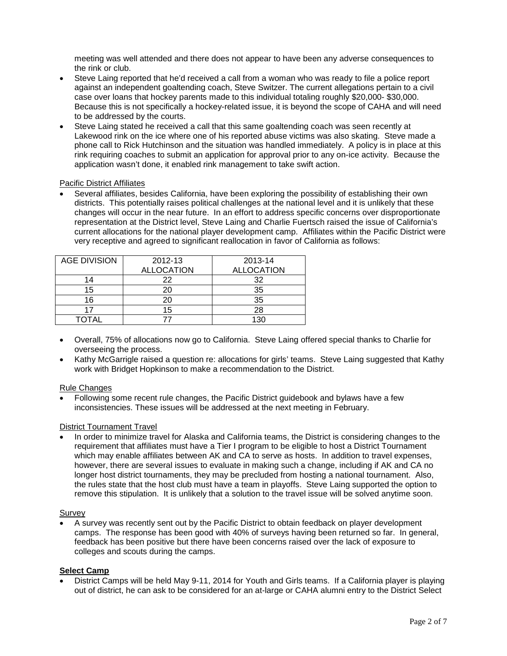meeting was well attended and there does not appear to have been any adverse consequences to the rink or club.

- Steve Laing reported that he'd received a call from a woman who was ready to file a police report against an independent goaltending coach, Steve Switzer. The current allegations pertain to a civil case over loans that hockey parents made to this individual totaling roughly \$20,000- \$30,000. Because this is not specifically a hockey-related issue, it is beyond the scope of CAHA and will need to be addressed by the courts.
- Steve Laing stated he received a call that this same goaltending coach was seen recently at Lakewood rink on the ice where one of his reported abuse victims was also skating. Steve made a phone call to Rick Hutchinson and the situation was handled immediately. A policy is in place at this rink requiring coaches to submit an application for approval prior to any on-ice activity. Because the application wasn't done, it enabled rink management to take swift action.

### Pacific District Affiliates

• Several affiliates, besides California, have been exploring the possibility of establishing their own districts. This potentially raises political challenges at the national level and it is unlikely that these changes will occur in the near future. In an effort to address specific concerns over disproportionate representation at the District level, Steve Laing and Charlie Fuertsch raised the issue of California's current allocations for the national player development camp. Affiliates within the Pacific District were very receptive and agreed to significant reallocation in favor of California as follows:

| <b>AGE DIVISION</b> | 2012-13           | 2013-14           |  |  |
|---------------------|-------------------|-------------------|--|--|
|                     | <b>ALLOCATION</b> | <b>ALLOCATION</b> |  |  |
| 14                  | 22                | 32                |  |  |
| 15                  |                   | 35                |  |  |
| 16                  |                   | 35                |  |  |
| 17                  | 15                | 28                |  |  |
| OTAI                |                   | 130               |  |  |

- Overall, 75% of allocations now go to California. Steve Laing offered special thanks to Charlie for overseeing the process.
- Kathy McGarrigle raised a question re: allocations for girls' teams. Steve Laing suggested that Kathy work with Bridget Hopkinson to make a recommendation to the District.

#### Rule Changes

• Following some recent rule changes, the Pacific District guidebook and bylaws have a few inconsistencies. These issues will be addressed at the next meeting in February.

### District Tournament Travel

• In order to minimize travel for Alaska and California teams, the District is considering changes to the requirement that affiliates must have a Tier I program to be eligible to host a District Tournament which may enable affiliates between AK and CA to serve as hosts. In addition to travel expenses, however, there are several issues to evaluate in making such a change, including if AK and CA no longer host district tournaments, they may be precluded from hosting a national tournament. Also, the rules state that the host club must have a team in playoffs. Steve Laing supported the option to remove this stipulation. It is unlikely that a solution to the travel issue will be solved anytime soon.

#### Survey

• A survey was recently sent out by the Pacific District to obtain feedback on player development camps. The response has been good with 40% of surveys having been returned so far. In general, feedback has been positive but there have been concerns raised over the lack of exposure to colleges and scouts during the camps.

### **Select Camp**

• District Camps will be held May 9-11, 2014 for Youth and Girls teams. If a California player is playing out of district, he can ask to be considered for an at-large or CAHA alumni entry to the District Select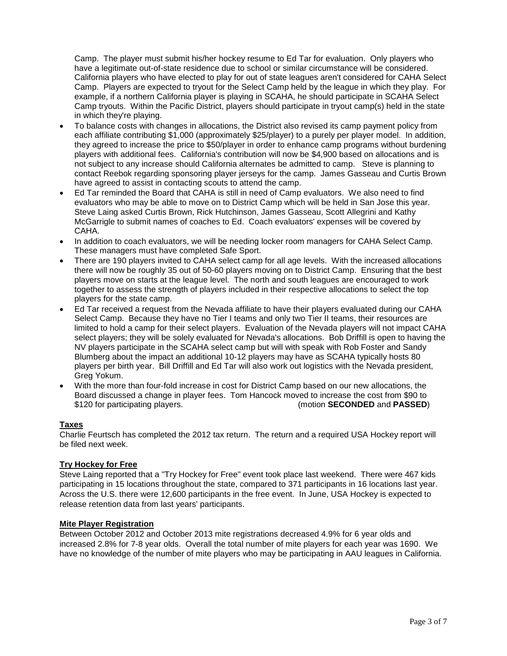Camp. The player must submit his/her hockey resume to Ed Tar for evaluation. Only players who have a legitimate out-of-state residence due to school or similar circumstance will be considered. California players who have elected to play for out of state leagues aren't considered for CAHA Select Camp. Players are expected to tryout for the Select Camp held by the league in which they play. For example, if a northern California player is playing in SCAHA, he should participate in SCAHA Select Camp tryouts. Within the Pacific District, players should participate in tryout camp(s) held in the state in which they're playing.

- To balance costs with changes in allocations, the District also revised its camp payment policy from each affiliate contributing \$1,000 (approximately \$25/player) to a purely per player model. In addition, they agreed to increase the price to \$50/player in order to enhance camp programs without burdening players with additional fees. California's contribution will now be \$4,900 based on allocations and is not subject to any increase should California alternates be admitted to camp. Steve is planning to contact Reebok regarding sponsoring player jerseys for the camp. James Gasseau and Curtis Brown have agreed to assist in contacting scouts to attend the camp.
- Ed Tar reminded the Board that CAHA is still in need of Camp evaluators. We also need to find evaluators who may be able to move on to District Camp which will be held in San Jose this year. Steve Laing asked Curtis Brown, Rick Hutchinson, James Gasseau, Scott Allegrini and Kathy McGarrigle to submit names of coaches to Ed. Coach evaluators' expenses will be covered by CAHA.
- In addition to coach evaluators, we will be needing locker room managers for CAHA Select Camp. These managers must have completed Safe Sport.
- There are 190 players invited to CAHA select camp for all age levels. With the increased allocations there will now be roughly 35 out of 50-60 players moving on to District Camp. Ensuring that the best players move on starts at the league level. The north and south leagues are encouraged to work together to assess the strength of players included in their respective allocations to select the top players for the state camp.
- Ed Tar received a request from the Nevada affiliate to have their players evaluated during our CAHA Select Camp. Because they have no Tier I teams and only two Tier II teams, their resources are limited to hold a camp for their select players. Evaluation of the Nevada players will not impact CAHA select players; they will be solely evaluated for Nevada's allocations. Bob Driffill is open to having the NV players participate in the SCAHA select camp but will with speak with Rob Foster and Sandy Blumberg about the impact an additional 10-12 players may have as SCAHA typically hosts 80 players per birth year. Bill Driffill and Ed Tar will also work out logistics with the Nevada president, Greg Yokum.
- With the more than four-fold increase in cost for District Camp based on our new allocations, the Board discussed a change in player fees. Tom Hancock moved to increase the cost from \$90 to<br>\$120 for participating players. (motion **SECONDED** and **PASSED**) (motion **SECONDED** and **PASSED**)

### **Taxes**

Charlie Feurtsch has completed the 2012 tax return. The return and a required USA Hockey report will be filed next week.

### **Try Hockey for Free**

Steve Laing reported that a "Try Hockey for Free" event took place last weekend. There were 467 kids participating in 15 locations throughout the state, compared to 371 participants in 16 locations last year. Across the U.S. there were 12,600 participants in the free event. In June, USA Hockey is expected to release retention data from last years' participants.

### **Mite Player Registration**

Between October 2012 and October 2013 mite registrations decreased 4.9% for 6 year olds and increased 2.8% for 7-8 year olds. Overall the total number of mite players for each year was 1690. We have no knowledge of the number of mite players who may be participating in AAU leagues in California.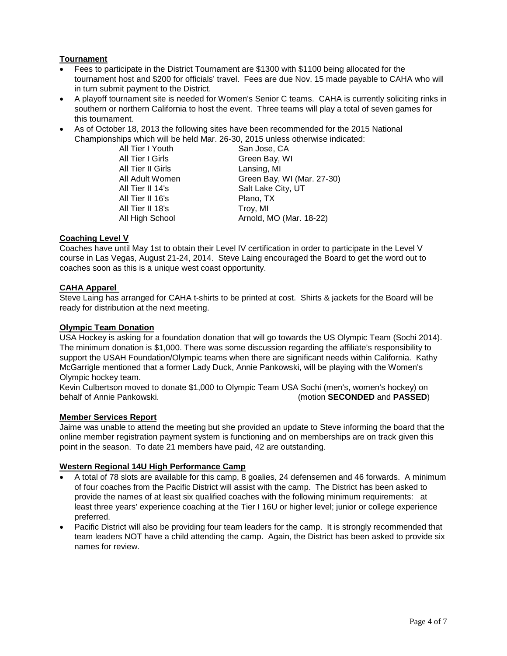# **Tournament**

- Fees to participate in the District Tournament are \$1300 with \$1100 being allocated for the tournament host and \$200 for officials' travel. Fees are due Nov. 15 made payable to CAHA who will in turn submit payment to the District.
- A playoff tournament site is needed for Women's Senior C teams. CAHA is currently soliciting rinks in southern or northern California to host the event. Three teams will play a total of seven games for this tournament.
- As of October 18, 2013 the following sites have been recommended for the 2015 National Championships which will be held Mar. 26-30, 2015 unless otherwise indicated:

| All Tier I Youth  | San Jose, CA               |
|-------------------|----------------------------|
| All Tier I Girls  | Green Bay, WI              |
| All Tier II Girls | Lansing, MI                |
| All Adult Women   | Green Bay, WI (Mar. 27-30) |
| All Tier II 14's  | Salt Lake City, UT         |
| All Tier II 16's  | Plano, TX                  |
| All Tier II 18's  | Troy, MI                   |
| All High School   | Arnold, MO (Mar. 18-22)    |

## **Coaching Level V**

Coaches have until May 1st to obtain their Level IV certification in order to participate in the Level V course in Las Vegas, August 21-24, 2014. Steve Laing encouraged the Board to get the word out to coaches soon as this is a unique west coast opportunity.

## **CAHA Apparel**

Steve Laing has arranged for CAHA t-shirts to be printed at cost. Shirts & jackets for the Board will be ready for distribution at the next meeting.

### **Olympic Team Donation**

USA Hockey is asking for a foundation donation that will go towards the US Olympic Team (Sochi 2014). The minimum donation is \$1,000. There was some discussion regarding the affiliate's responsibility to support the USAH Foundation/Olympic teams when there are significant needs within California. Kathy McGarrigle mentioned that a former Lady Duck, Annie Pankowski, will be playing with the Women's Olympic hockey team.

Kevin Culbertson moved to donate \$1,000 to Olympic Team USA Sochi (men's, women's hockey) on<br>(motion SECONDED and PASSED) (motion SECONDED and PASSED (motion **SECONDED** and **PASSED**)

### **Member Services Report**

Jaime was unable to attend the meeting but she provided an update to Steve informing the board that the online member registration payment system is functioning and on memberships are on track given this point in the season. To date 21 members have paid, 42 are outstanding.

# **Western Regional 14U High Performance Camp**

- A total of 78 slots are available for this camp, 8 goalies, 24 defensemen and 46 forwards. A minimum of four coaches from the Pacific District will assist with the camp. The District has been asked to provide the names of at least six qualified coaches with the following minimum requirements: at least three years' experience coaching at the Tier I 16U or higher level; junior or college experience preferred.
- Pacific District will also be providing four team leaders for the camp. It is strongly recommended that team leaders NOT have a child attending the camp. Again, the District has been asked to provide six names for review.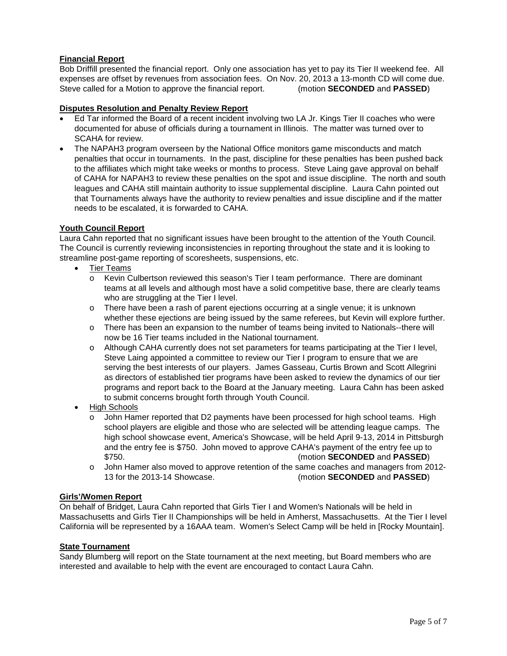# **Financial Report**

Bob Driffill presented the financial report. Only one association has yet to pay its Tier II weekend fee. All expenses are offset by revenues from association fees. On Nov. 20, 2013 a 13-month CD will come due. Steve called for a Motion to approve the financial report. (motion **SECONDED** and **PASSED**)

## **Disputes Resolution and Penalty Review Report**

- Ed Tar informed the Board of a recent incident involving two LA Jr. Kings Tier II coaches who were documented for abuse of officials during a tournament in Illinois. The matter was turned over to SCAHA for review.
- The NAPAH3 program overseen by the National Office monitors game misconducts and match penalties that occur in tournaments. In the past, discipline for these penalties has been pushed back to the affiliates which might take weeks or months to process. Steve Laing gave approval on behalf of CAHA for NAPAH3 to review these penalties on the spot and issue discipline. The north and south leagues and CAHA still maintain authority to issue supplemental discipline. Laura Cahn pointed out that Tournaments always have the authority to review penalties and issue discipline and if the matter needs to be escalated, it is forwarded to CAHA.

## **Youth Council Report**

Laura Cahn reported that no significant issues have been brought to the attention of the Youth Council. The Council is currently reviewing inconsistencies in reporting throughout the state and it is looking to streamline post-game reporting of scoresheets, suspensions, etc.

- Tier Teams
	- o Kevin Culbertson reviewed this season's Tier I team performance. There are dominant teams at all levels and although most have a solid competitive base, there are clearly teams who are struggling at the Tier I level.
	- o There have been a rash of parent ejections occurring at a single venue; it is unknown whether these ejections are being issued by the same referees, but Kevin will explore further.
	- o There has been an expansion to the number of teams being invited to Nationals--there will now be 16 Tier teams included in the National tournament.
	- o Although CAHA currently does not set parameters for teams participating at the Tier I level, Steve Laing appointed a committee to review our Tier I program to ensure that we are serving the best interests of our players. James Gasseau, Curtis Brown and Scott Allegrini as directors of established tier programs have been asked to review the dynamics of our tier programs and report back to the Board at the January meeting. Laura Cahn has been asked to submit concerns brought forth through Youth Council.
- High Schools
	- o John Hamer reported that D2 payments have been processed for high school teams. High school players are eligible and those who are selected will be attending league camps. The high school showcase event, America's Showcase, will be held April 9-13, 2014 in Pittsburgh and the entry fee is \$750. John moved to approve CAHA's payment of the entry fee up to \$750. (motion **SECONDED** and **PASSED**)
	- o John Hamer also moved to approve retention of the same coaches and managers from 2012-<br>13 for the 2013-14 Showcase. (motion **SECONDED** and **PASSED**) 13 for the 2013-14 Showcase. (motion **SECONDED** and **PASSED**)

# **Girls'/Women Report**

On behalf of Bridget, Laura Cahn reported that Girls Tier I and Women's Nationals will be held in Massachusetts and Girls Tier II Championships will be held in Amherst, Massachusetts. At the Tier I level California will be represented by a 16AAA team. Women's Select Camp will be held in [Rocky Mountain].

### **State Tournament**

Sandy Blumberg will report on the State tournament at the next meeting, but Board members who are interested and available to help with the event are encouraged to contact Laura Cahn.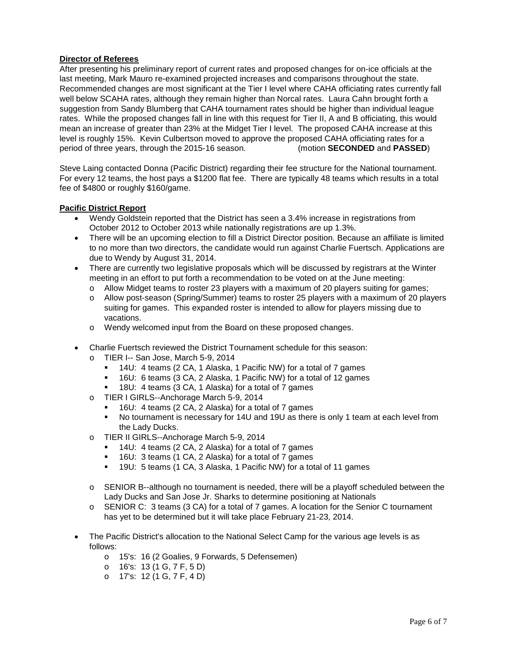## **Director of Referees**

After presenting his preliminary report of current rates and proposed changes for on-ice officials at the last meeting, Mark Mauro re-examined projected increases and comparisons throughout the state. Recommended changes are most significant at the Tier I level where CAHA officiating rates currently fall well below SCAHA rates, although they remain higher than Norcal rates. Laura Cahn brought forth a suggestion from Sandy Blumberg that CAHA tournament rates should be higher than individual league rates. While the proposed changes fall in line with this request for Tier II, A and B officiating, this would mean an increase of greater than 23% at the Midget Tier I level. The proposed CAHA increase at this level is roughly 15%. Kevin Culbertson moved to approve the proposed CAHA officiating rates for a period of three years, through the 2015-16 season. (motion **SECONDED** and **PASSED**)

Steve Laing contacted Donna (Pacific District) regarding their fee structure for the National tournament. For every 12 teams, the host pays a \$1200 flat fee. There are typically 48 teams which results in a total fee of \$4800 or roughly \$160/game.

## **Pacific District Report**

- Wendy Goldstein reported that the District has seen a 3.4% increase in registrations from October 2012 to October 2013 while nationally registrations are up 1.3%.
- There will be an upcoming election to fill a District Director position. Because an affiliate is limited to no more than two directors, the candidate would run against Charlie Fuertsch. Applications are due to Wendy by August 31, 2014.
- There are currently two legislative proposals which will be discussed by registrars at the Winter meeting in an effort to put forth a recommendation to be voted on at the June meeting:
	- o Allow Midget teams to roster 23 players with a maximum of 20 players suiting for games;
	- o Allow post-season (Spring/Summer) teams to roster 25 players with a maximum of 20 players suiting for games. This expanded roster is intended to allow for players missing due to vacations.
	- o Wendy welcomed input from the Board on these proposed changes.
- Charlie Fuertsch reviewed the District Tournament schedule for this season:
	- o TIER I-- San Jose, March 5-9, 2014
		- 14U: 4 teams (2 CA, 1 Alaska, 1 Pacific NW) for a total of 7 games
		- 16U: 6 teams (3 CA, 2 Alaska, 1 Pacific NW) for a total of 12 games
		- 18U: 4 teams (3 CA, 1 Alaska) for a total of 7 games
	- o TIER I GIRLS--Anchorage March 5-9, 2014<br>16U: 4 teams (2 CA, 2 Alaska) for a tota
		- 16U: 4 teams (2 CA, 2 Alaska) for a total of 7 games
		- No tournament is necessary for 14U and 19U as there is only 1 team at each level from the Lady Ducks.
	- o TIER II GIRLS--Anchorage March 5-9, 2014
		- 14U: 4 teams (2 CA, 2 Alaska) for a total of 7 games
		- 16U: 3 teams (1 CA, 2 Alaska) for a total of 7 games
		- 19U: 5 teams (1 CA, 3 Alaska, 1 Pacific NW) for a total of 11 games
	- o SENIOR B--although no tournament is needed, there will be a playoff scheduled between the Lady Ducks and San Jose Jr. Sharks to determine positioning at Nationals
	- o SENIOR C: 3 teams (3 CA) for a total of 7 games. A location for the Senior C tournament has yet to be determined but it will take place February 21-23, 2014.
- The Pacific District's allocation to the National Select Camp for the various age levels is as follows:
	- o 15's: 16 (2 Goalies, 9 Forwards, 5 Defensemen)
	- o 16's: 13 (1 G, 7 F, 5 D)
	- o 17's: 12 (1 G, 7 F, 4 D)